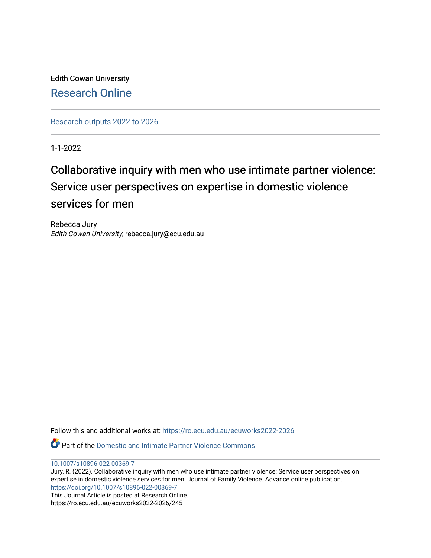Edith Cowan University [Research Online](https://ro.ecu.edu.au/) 

[Research outputs 2022 to 2026](https://ro.ecu.edu.au/ecuworks2022-2026) 

1-1-2022

# Collaborative inquiry with men who use intimate partner violence: Service user perspectives on expertise in domestic violence services for men

Rebecca Jury Edith Cowan University, rebecca.jury@ecu.edu.au

Follow this and additional works at: [https://ro.ecu.edu.au/ecuworks2022-2026](https://ro.ecu.edu.au/ecuworks2022-2026?utm_source=ro.ecu.edu.au%2Fecuworks2022-2026%2F245&utm_medium=PDF&utm_campaign=PDFCoverPages)

Part of the [Domestic and Intimate Partner Violence Commons](http://network.bepress.com/hgg/discipline/1309?utm_source=ro.ecu.edu.au%2Fecuworks2022-2026%2F245&utm_medium=PDF&utm_campaign=PDFCoverPages)

[10.1007/s10896-022-00369-7](http://dx.doi.org/10.1007/s10896-022-00369-7)

Jury, R. (2022). Collaborative inquiry with men who use intimate partner violence: Service user perspectives on expertise in domestic violence services for men. Journal of Family Violence. Advance online publication. <https://doi.org/10.1007/s10896-022-00369-7>

This Journal Article is posted at Research Online. https://ro.ecu.edu.au/ecuworks2022-2026/245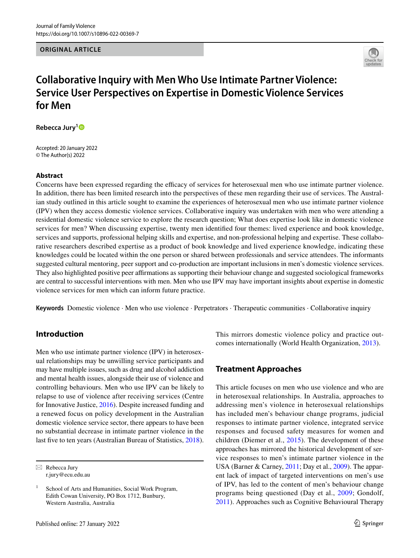**ORIGINAL ARTICLE**



# **Collaborative Inquiry with Men Who Use Intimate Partner Violence: Service User Perspectives on Expertise in Domestic Violence Services for Men**

**Rebecca Jury[1](http://orcid.org/0000-0002-8829-903X)**

Accepted: 20 January 2022 © The Author(s) 2022

#### **Abstract**

Concerns have been expressed regarding the efficacy of services for heterosexual men who use intimate partner violence. In addition, there has been limited research into the perspectives of these men regarding their use of services. The Australian study outlined in this article sought to examine the experiences of heterosexual men who use intimate partner violence (IPV) when they access domestic violence services. Collaborative inquiry was undertaken with men who were attending a residential domestic violence service to explore the research question; What does expertise look like in domestic violence services for men? When discussing expertise, twenty men identifed four themes: lived experience and book knowledge, services and supports, professional helping skills and expertise, and non-professional helping and expertise. These collaborative researchers described expertise as a product of book knowledge and lived experience knowledge, indicating these knowledges could be located within the one person or shared between professionals and service attendees. The informants suggested cultural mentoring, peer support and co-production are important inclusions in men's domestic violence services. They also highlighted positive peer afrmations as supporting their behaviour change and suggested sociological frameworks are central to successful interventions with men. Men who use IPV may have important insights about expertise in domestic violence services for men which can inform future practice.

**Keywords** Domestic violence · Men who use violence · Perpetrators · Therapeutic communities · Collaborative inquiry

### **Introduction**

Men who use intimate partner violence (IPV) in heterosexual relationships may be unwilling service participants and may have multiple issues, such as drug and alcohol addiction and mental health issues, alongside their use of violence and controlling behaviours. Men who use IPV can be likely to relapse to use of violence after receiving services (Centre for Innovative Justice, [2016\)](#page-11-0). Despite increased funding and a renewed focus on policy development in the Australian domestic violence service sector, there appears to have been no substantial decrease in intimate partner violence in the last fve to ten years (Australian Bureau of Statistics, [2018](#page-10-0)).

 $\boxtimes$  Rebecca Jury r.jury@ecu.edu.au

This mirrors domestic violence policy and practice outcomes internationally (World Health Organization, [2013\)](#page-12-0).

#### **Treatment Approaches**

This article focuses on men who use violence and who are in heterosexual relationships. In Australia, approaches to addressing men's violence in heterosexual relationships has included men's behaviour change programs, judicial responses to intimate partner violence, integrated service responses and focused safety measures for women and children (Diemer et al., [2015](#page-11-1)). The development of these approaches has mirrored the historical development of service responses to men's intimate partner violence in the USA (Barner & Carney, [2011;](#page-10-1) Day et al., [2009\)](#page-11-2). The apparent lack of impact of targeted interventions on men's use of IPV, has led to the content of men's behaviour change programs being questioned (Day et al., [2009;](#page-11-2) Gondolf, [2011](#page-11-3)). Approaches such as Cognitive Behavioural Therapy

School of Arts and Humanities, Social Work Program, Edith Cowan University, PO Box 1712, Bunbury, Western Australia, Australia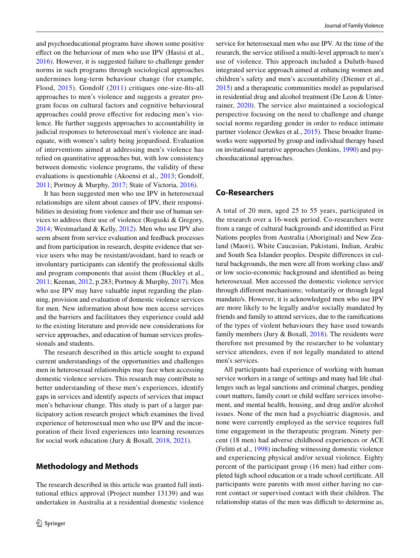and psychoeducational programs have shown some positive efect on the behaviour of men who use IPV (Hasisi et al., [2016](#page-11-4)). However, it is suggested failure to challenge gender norms in such programs through sociological approaches undermines long-term behaviour change (for example, Flood, [2015\)](#page-11-5). Gondolf ([2011\)](#page-11-3) critiques one-size-fts-all approaches to men's violence and suggests a greater program focus on cultural factors and cognitive behavioural approaches could prove efective for reducing men's violence. He further suggests approaches to accountability in judicial responses to heterosexual men's violence are inadequate, with women's safety being jeopardised. Evaluation of interventions aimed at addressing men's violence has relied on quantitative approaches but, with low consistency between domestic violence programs, the validity of these evaluations is questionable (Akoensi et al., [2013](#page-10-2); Gondolf, [2011](#page-11-3); Portnoy & Murphy, [2017](#page-12-1); State of Victoria, [2016](#page-12-2)).

It has been suggested men who use IPV in heterosexual relationships are silent about causes of IPV, their responsibilities in desisting from violence and their use of human services to address their use of violence (Roguski & Gregory, [2014](#page-12-3); Westmarland & Kelly, [2012](#page-12-4)). Men who use IPV also seem absent from service evaluation and feedback processes and from participation in research, despite evidence that service users who may be resistant/avoidant, hard to reach or involuntary participants can identify the professional skills and program components that assist them (Buckley et al., [2011;](#page-10-3) Keenan, [2012,](#page-11-6) p.283; Portnoy & Murphy, [2017\)](#page-12-1). Men who use IPV may have valuable input regarding the planning, provision and evaluation of domestic violence services for men. New information about how men access services and the barriers and facilitators they experience could add to the existing literature and provide new considerations for service approaches, and education of human services professionals and students.

The research described in this article sought to expand current understandings of the opportunities and challenges men in heterosexual relationships may face when accessing domestic violence services. This research may contribute to better understanding of these men's experiences, identify gaps in services and identify aspects of services that impact men's behaviour change. This study is part of a larger participatory action research project which examines the lived experience of heterosexual men who use IPV and the incorporation of their lived experiences into learning resources for social work education (Jury & Boxall, [2018,](#page-11-7) [2021](#page-11-8)).

### **Methodology and Methods**

The research described in this article was granted full institutional ethics approval (Project number 13139) and was undertaken in Australia at a residential domestic violence service for heterosexual men who use IPV. At the time of the research, the service utilised a multi-level approach to men's use of violence. This approach included a Duluth-based integrated service approach aimed at enhancing women and children's safety and men's accountability (Diemer et al., [2015](#page-11-1)) and a therapeutic communities model as popularised in residential drug and alcohol treatment (De Leon & Unterrainer, [2020](#page-11-9)). The service also maintained a sociological perspective focusing on the need to challenge and change social norms regarding gender in order to reduce intimate partner violence (Jewkes et al., [2015\)](#page-11-10). These broader frameworks were supported by group and individual therapy based on invitational narrative approaches (Jenkins, [1990\)](#page-11-11) and psychoeducational approaches.

#### **Co‑Researchers**

A total of 20 men, aged 25 to 55 years, participated in the research over a 16-week period. Co-researchers were from a range of cultural backgrounds and identifed as First Nations peoples from Australia (Aboriginal) and New Zealand (Maori), White Caucasian, Pakistani, Indian, Arabic and South Sea Islander peoples. Despite diferences in cultural backgrounds, the men were all from working class and/ or low socio-economic background and identifed as being heterosexual. Men accessed the domestic violence service through diferent mechanisms; voluntarily or through legal mandate/s. However, it is acknowledged men who use IPV are more likely to be legally and/or socially mandated by friends and family to attend services, due to the ramifcations of the types of violent behaviours they have used towards family members (Jury  $&$  Boxall,  $2018$ ). The residents were therefore not presumed by the researcher to be voluntary service attendees, even if not legally mandated to attend men's services.

All participants had experience of working with human service workers in a range of settings and many had life challenges such as legal sanctions and criminal charges, pending court matters, family court or child welfare services involvement, and mental health, housing, and drug and/or alcohol issues. None of the men had a psychiatric diagnosis, and none were currently employed as the service requires full time engagement in the therapeutic program. Ninety percent (18 men) had adverse childhood experiences or ACE (Felitti et al., [1998](#page-11-12)) including witnessing domestic violence and experiencing physical and/or sexual violence. Eighty percent of the participant group (16 men) had either completed high school education or a trade school certifcate. All participants were parents with most either having no current contact or supervised contact with their children. The relationship status of the men was difficult to determine as,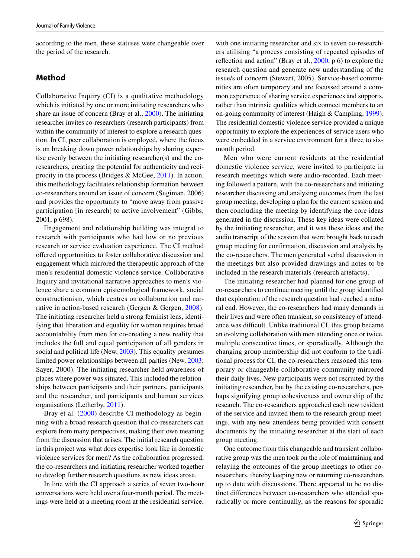according to the men, these statuses were changeable over the period of the research.

#### **Method**

Collaborative Inquiry (CI) is a qualitative methodology which is initiated by one or more initiating researchers who share an issue of concern (Bray et al., [2000\)](#page-10-4). The initiating researcher invites co-researchers (research participants) from within the community of interest to explore a research question. In CI, peer collaboration is employed, where the focus is on breaking down power relationships by sharing expertise evenly between the initiating researcher(s) and the coresearchers, creating the potential for authenticity and reciprocity in the process (Bridges & McGee, [2011\)](#page-10-5). In action, this methodology facilitates relationship formation between co-researchers around an issue of concern (Sugiman, 2006) and provides the opportunity to "move away from passive participation [in research] to active involvement" (Gibbs, 2001, p 698).

Engagement and relationship building was integral to research with participants who had low or no previous research or service evaluation experience. The CI method ofered opportunities to foster collaborative discussion and engagement which mirrored the therapeutic approach of the men's residential domestic violence service. Collaborative Inquiry and invitational narrative approaches to men's violence share a common epistemological framework, social constructionism, which centres on collaboration and narrative in action-based research (Gergen & Gergen, [2008](#page-11-13)). The initiating researcher held a strong feminist lens, identifying that liberation and equality for women requires broad accountability from men for co-creating a new reality that includes the full and equal participation of all genders in social and political life (New, [2003](#page-12-5)). This equality presumes limited power relationships between all parties (New, [2003](#page-12-5); Sayer, 2000). The initiating researcher held awareness of places where power was situated. This included the relationships between participants and their partners, participants and the researcher, and participants and human services organisations (Letherby, [2011](#page-11-14)).

Bray et al. [\(2000](#page-10-4)) describe CI methodology as beginning with a broad research question that co-researchers can explore from many perspectives, making their own meaning from the discussion that arises. The initial research question in this project was what does expertise look like in domestic violence services for men? As the collaboration progressed, the co-researchers and initiating researcher worked together to develop further research questions as new ideas arose.

In line with the CI approach a series of seven two-hour conversations were held over a four-month period. The meetings were held at a meeting room at the residential service,

with one initiating researcher and six to seven co-researchers utilising "a process consisting of repeated episodes of refection and action" (Bray et al., [2000,](#page-10-4) p 6) to explore the research question and generate new understanding of the issue/s of concern (Stewart, 2005). Service-based communities are often temporary and are focussed around a common experience of sharing service experiences and supports, rather than intrinsic qualities which connect members to an on-going community of interest (Haigh & Campling, [1999](#page-11-15)). The residential domestic violence service provided a unique opportunity to explore the experiences of service users who were embedded in a service environment for a three to sixmonth period.

Men who were current residents at the residential domestic violence service, were invited to participate in research meetings which were audio-recorded. Each meeting followed a pattern, with the co-researchers and initiating researcher discussing and analysing outcomes from the last group meeting, developing a plan for the current session and then concluding the meeting by identifying the core ideas generated in the discussion. These key ideas were collated by the initiating researcher, and it was these ideas and the audio transcript of the session that were brought back to each group meeting for confrmation, discussion and analysis by the co-researchers. The men generated verbal discussion in the meetings but also provided drawings and notes to be included in the research materials (research artefacts).

The initiating researcher had planned for one group of co-researchers to continue meeting until the group identifed that exploration of the research question had reached a natural end. However, the co-researchers had many demands in their lives and were often transient, so consistency of attendance was difficult. Unlike traditional CI, this group became an evolving collaboration with men attending once or twice, multiple consecutive times, or sporadically. Although the changing group membership did not conform to the traditional process for CI, the co-researchers reasoned this temporary or changeable collaborative community mirrored their daily lives. New participants were not recruited by the initiating researcher, but by the existing co-researchers, perhaps signifying group cohesiveness and ownership of the research. The co-researchers approached each new resident of the service and invited them to the research group meetings, with any new attendees being provided with consent documents by the initiating researcher at the start of each group meeting.

One outcome from this changeable and transient collaborative group was the men took on the role of maintaining and relaying the outcomes of the group meetings to other coresearchers, thereby keeping new or returning co-researchers up to date with discussions. There appeared to be no distinct diferences between co-researchers who attended sporadically or more continually, as the reasons for sporadic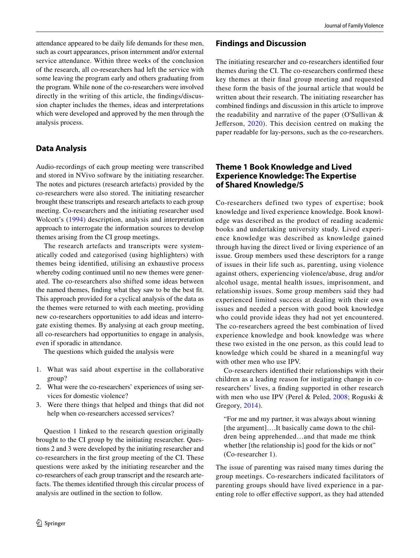attendance appeared to be daily life demands for these men, such as court appearances, prison internment and/or external service attendance. Within three weeks of the conclusion of the research, all co-researchers had left the service with some leaving the program early and others graduating from the program. While none of the co-researchers were involved directly in the writing of this article, the fndings/discussion chapter includes the themes, ideas and interpretations which were developed and approved by the men through the analysis process.

#### **Data Analysis**

Audio-recordings of each group meeting were transcribed and stored in NVivo software by the initiating researcher. The notes and pictures (research artefacts) provided by the co-researchers were also stored. The initiating researcher brought these transcripts and research artefacts to each group meeting. Co-researchers and the initiating researcher used Wolcott's [\(1994](#page-12-6)) description, analysis and interpretation approach to interrogate the information sources to develop themes arising from the CI group meetings.

The research artefacts and transcripts were systematically coded and categorised (using highlighters) with themes being identifed, utilising an exhaustive process whereby coding continued until no new themes were generated. The co-researchers also shifted some ideas between the named themes, fnding what they saw to be the best ft. This approach provided for a cyclical analysis of the data as the themes were returned to with each meeting, providing new co-researchers opportunities to add ideas and interrogate existing themes. By analysing at each group meeting, all co-researchers had opportunities to engage in analysis, even if sporadic in attendance.

The questions which guided the analysis were

- 1. What was said about expertise in the collaborative group?
- 2. What were the co-researchers' experiences of using services for domestic violence?
- 3. Were there things that helped and things that did not help when co-researchers accessed services?

Question 1 linked to the research question originally brought to the CI group by the initiating researcher. Questions 2 and 3 were developed by the initiating researcher and co-researchers in the frst group meeting of the CI. These questions were asked by the initiating researcher and the co-researchers of each group transcript and the research artefacts. The themes identifed through this circular process of analysis are outlined in the section to follow.

#### **Findings and Discussion**

The initiating researcher and co-researchers identifed four themes during the CI. The co-researchers confrmed these key themes at their fnal group meeting and requested these form the basis of the journal article that would be written about their research. The initiating researcher has combined fndings and discussion in this article to improve the readability and narrative of the paper (O'Sullivan & Jefferson, [2020\)](#page-12-7). This decision centred on making the paper readable for lay-persons, such as the co-researchers.

#### **Theme 1 Book Knowledge and Lived Experience Knowledge: The Expertise of Shared Knowledge/S**

Co-researchers defined two types of expertise; book knowledge and lived experience knowledge. Book knowledge was described as the product of reading academic books and undertaking university study. Lived experience knowledge was described as knowledge gained through having the direct lived or living experience of an issue. Group members used these descriptors for a range of issues in their life such as, parenting, using violence against others, experiencing violence/abuse, drug and/or alcohol usage, mental health issues, imprisonment, and relationship issues. Some group members said they had experienced limited success at dealing with their own issues and needed a person with good book knowledge who could provide ideas they had not yet encountered. The co-researchers agreed the best combination of lived experience knowledge and book knowledge was where these two existed in the one person, as this could lead to knowledge which could be shared in a meaningful way with other men who use IPV.

Co-researchers identifed their relationships with their children as a leading reason for instigating change in coresearchers' lives, a fnding supported in other research with men who use IPV (Perel & Peled, [2008](#page-12-8); Roguski & Gregory, [2014](#page-12-3)).

"For me and my partner, it was always about winning [the argument]....It basically came down to the children being apprehended…and that made me think whether [the relationship is] good for the kids or not" (Co-researcher 1).

The issue of parenting was raised many times during the group meetings. Co-researchers indicated facilitators of parenting groups should have lived experience in a parenting role to offer effective support, as they had attended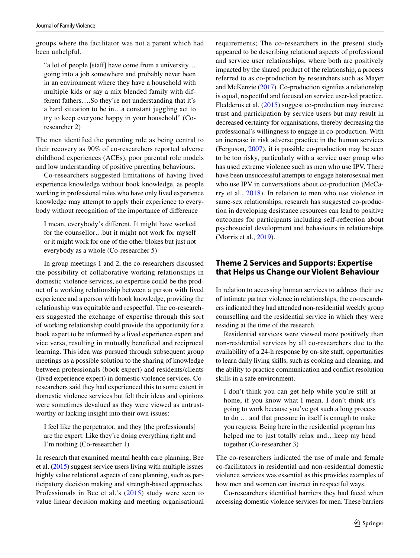groups where the facilitator was not a parent which had been unhelpful.

"a lot of people [staff] have come from a university... going into a job somewhere and probably never been in an environment where they have a household with multiple kids or say a mix blended family with different fathers….So they're not understanding that it's a hard situation to be in…a constant juggling act to try to keep everyone happy in your household" (Coresearcher 2)

The men identifed the parenting role as being central to their recovery as 90% of co-researchers reported adverse childhood experiences (ACEs), poor parental role models and low understanding of positive parenting behaviours.

Co-researchers suggested limitations of having lived experience knowledge without book knowledge, as people working in professional roles who have only lived experience knowledge may attempt to apply their experience to everybody without recognition of the importance of diference

I mean, everybody's diferent. It might have worked for the counsellor…but it might not work for myself or it might work for one of the other blokes but just not everybody as a whole (Co-researcher 5)

In group meetings 1 and 2, the co-researchers discussed the possibility of collaborative working relationships in domestic violence services, so expertise could be the product of a working relationship between a person with lived experience and a person with book knowledge, providing the relationship was equitable and respectful. The co-researchers suggested the exchange of expertise through this sort of working relationship could provide the opportunity for a book expert to be informed by a lived experience expert and vice versa, resulting in mutually benefcial and reciprocal learning. This idea was pursued through subsequent group meetings as a possible solution to the sharing of knowledge between professionals (book expert) and residents/clients (lived experience expert) in domestic violence services. Coresearchers said they had experienced this to some extent in domestic violence services but felt their ideas and opinions were sometimes devalued as they were viewed as untrustworthy or lacking insight into their own issues:

I feel like the perpetrator, and they [the professionals] are the expert. Like they're doing everything right and I'm nothing (Co-researcher 1)

In research that examined mental health care planning, Bee et al. [\(2015](#page-10-6)) suggest service users living with multiple issues highly value relational aspects of care planning, such as participatory decision making and strength-based approaches. Professionals in Bee et al.'s [\(2015\)](#page-10-6) study were seen to value linear decision making and meeting organisational requirements; The co-researchers in the present study appeared to be describing relational aspects of professional and service user relationships, where both are positively impacted by the shared product of the relationship, a process referred to as co-production by researchers such as Mayer and McKenzie [\(2017\)](#page-11-16). Co-production signifes a relationship is equal, respectful and focused on service user-led practice. Fledderus et al. ([2015](#page-11-17)) suggest co-production may increase trust and participation by service users but may result in decreased certainty for organisations, thereby decreasing the professional's willingness to engage in co-production. With an increase in risk adverse practice in the human services (Ferguson, [2007](#page-11-18)), it is possible co-production may be seen to be too risky, particularly with a service user group who has used extreme violence such as men who use IPV. There have been unsuccessful attempts to engage heterosexual men who use IPV in conversations about co-production (McCarry et al., [2018\)](#page-11-19). In relation to men who use violence in same-sex relationships, research has suggested co-production in developing desistance resources can lead to positive outcomes for participants including self-refection about psychosocial development and behaviours in relationships (Morris et al., [2019\)](#page-11-20).

#### **Theme 2 Services and Supports: Expertise that Helps us Change our Violent Behaviour**

In relation to accessing human services to address their use of intimate partner violence in relationships, the co-researchers indicated they had attended non-residential weekly group counselling and the residential service in which they were residing at the time of the research.

Residential services were viewed more positively than non-residential services by all co-researchers due to the availability of a 24-h response by on-site staf, opportunities to learn daily living skills, such as cooking and cleaning, and the ability to practice communication and confict resolution skills in a safe environment.

I don't think you can get help while you're still at home, if you know what I mean. I don't think it's going to work because you've got such a long process to do … and that pressure in itself is enough to make you regress. Being here in the residential program has helped me to just totally relax and…keep my head together (Co-researcher 3)

The co-researchers indicated the use of male and female co-facilitators in residential and non-residential domestic violence services was essential as this provides examples of how men and women can interact in respectful ways.

Co-researchers identifed barriers they had faced when accessing domestic violence services for men. These barriers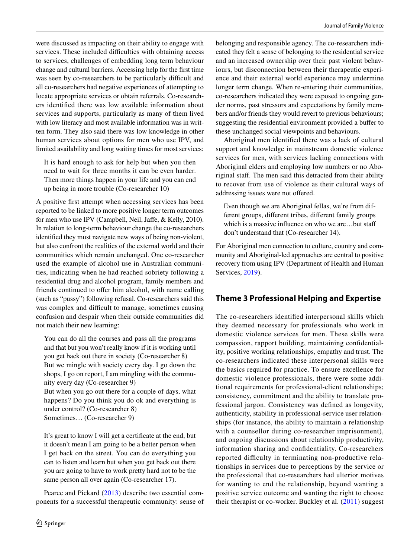were discussed as impacting on their ability to engage with services. These included difficulties with obtaining access to services, challenges of embedding long term behaviour change and cultural barriers. Accessing help for the frst time was seen by co-researchers to be particularly difficult and all co-researchers had negative experiences of attempting to locate appropriate services or obtain referrals. Co-researchers identifed there was low available information about services and supports, particularly as many of them lived with low literacy and most available information was in written form. They also said there was low knowledge in other human services about options for men who use IPV, and limited availability and long waiting times for most services:

It is hard enough to ask for help but when you then need to wait for three months it can be even harder. Then more things happen in your life and you can end up being in more trouble (Co-researcher 10)

A positive frst attempt when accessing services has been reported to be linked to more positive longer term outcomes for men who use IPV (Campbell, Neil, Jafe, & Kelly, 2010). In relation to long-term behaviour change the co-researchers identifed they must navigate new ways of being non-violent, but also confront the realities of the external world and their communities which remain unchanged. One co-researcher used the example of alcohol use in Australian communities, indicating when he had reached sobriety following a residential drug and alcohol program, family members and friends continued to offer him alcohol, with name calling (such as "pussy") following refusal. Co-researchers said this was complex and difficult to manage, sometimes causing confusion and despair when their outside communities did not match their new learning:

You can do all the courses and pass all the programs and that but you won't really know if it is working until you get back out there in society (Co-researcher 8) But we mingle with society every day. I go down the shops, I go on report, I am mingling with the community every day (Co-researcher 9)

But when you go out there for a couple of days, what happens? Do you think you do ok and everything is under control? (Co-researcher 8) Sometimes… (Co-researcher 9)

It's great to know I will get a certifcate at the end, but it doesn't mean I am going to be a better person when I get back on the street. You can do everything you can to listen and learn but when you get back out there you are going to have to work pretty hard not to be the same person all over again (Co-researcher 17).

Pearce and Pickard ([2013](#page-12-9)) describe two essential components for a successful therapeutic community: sense of belonging and responsible agency. The co-researchers indicated they felt a sense of belonging to the residential service and an increased ownership over their past violent behaviours, but disconnection between their therapeutic experience and their external world experience may undermine longer term change. When re-entering their communities, co-researchers indicated they were exposed to ongoing gender norms, past stressors and expectations by family members and/or friends they would revert to previous behaviours; suggesting the residential environment provided a bufer to these unchanged social viewpoints and behaviours.

Aboriginal men identifed there was a lack of cultural support and knowledge in mainstream domestic violence services for men, with services lacking connections with Aboriginal elders and employing low numbers or no Aboriginal staf. The men said this detracted from their ability to recover from use of violence as their cultural ways of addressing issues were not ofered.

Even though we are Aboriginal fellas, we're from different groups, diferent tribes, diferent family groups which is a massive influence on who we are...but staff don't understand that (Co-researcher 14).

For Aboriginal men connection to culture, country and community and Aboriginal-led approaches are central to positive recovery from using IPV (Department of Health and Human Services, [2019\)](#page-11-21).

# **Theme 3 Professional Helping and Expertise**

The co-researchers identifed interpersonal skills which they deemed necessary for professionals who work in domestic violence services for men. These skills were compassion, rapport building, maintaining confdentiality, positive working relationships, empathy and trust. The co-researchers indicated these interpersonal skills were the basics required for practice. To ensure excellence for domestic violence professionals, there were some additional requirements for professional-client relationships; consistency, commitment and the ability to translate professional jargon. Consistency was defned as longevity, authenticity, stability in professional-service user relationships (for instance, the ability to maintain a relationship with a counsellor during co-researcher imprisonment), and ongoing discussions about relationship productivity, information sharing and confdentiality. Co-researchers reported difficulty in terminating non-productive relationships in services due to perceptions by the service or the professional that co-researchers had ulterior motives for wanting to end the relationship, beyond wanting a positive service outcome and wanting the right to choose their therapist or co-worker. Buckley et al. ([2011\)](#page-10-3) suggest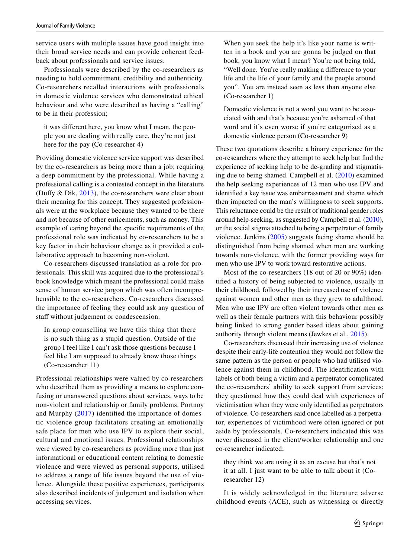service users with multiple issues have good insight into their broad service needs and can provide coherent feedback about professionals and service issues.

Professionals were described by the co-researchers as needing to hold commitment, credibility and authenticity. Co-researchers recalled interactions with professionals in domestic violence services who demonstrated ethical behaviour and who were described as having a "calling" to be in their profession;

it was diferent here, you know what I mean, the people you are dealing with really care, they're not just here for the pay (Co-researcher 4)

Providing domestic violence service support was described by the co-researchers as being more than a job; requiring a deep commitment by the professional. While having a professional calling is a contested concept in the literature (Dufy & Dik, [2013](#page-11-22)), the co-researchers were clear about their meaning for this concept. They suggested professionals were at the workplace because they wanted to be there and not because of other enticements, such as money. This example of caring beyond the specifc requirements of the professional role was indicated by co-researchers to be a key factor in their behaviour change as it provided a collaborative approach to becoming non-violent.

Co-researchers discussed translation as a role for professionals. This skill was acquired due to the professional's book knowledge which meant the professional could make sense of human service jargon which was often incomprehensible to the co-researchers. Co-researchers discussed the importance of feeling they could ask any question of staff without judgement or condescension.

In group counselling we have this thing that there is no such thing as a stupid question. Outside of the group I feel like I can't ask those questions because I feel like I am supposed to already know those things (Co-researcher 11)

Professional relationships were valued by co-researchers who described them as providing a means to explore confusing or unanswered questions about services, ways to be non-violent and relationship or family problems. Portnoy and Murphy [\(2017](#page-12-1)) identifed the importance of domestic violence group facilitators creating an emotionally safe place for men who use IPV to explore their social, cultural and emotional issues. Professional relationships were viewed by co-researchers as providing more than just informational or educational content relating to domestic violence and were viewed as personal supports, utilised to address a range of life issues beyond the use of violence. Alongside these positive experiences, participants also described incidents of judgement and isolation when accessing services.

When you seek the help it's like your name is written in a book and you are gonna be judged on that book, you know what I mean? You're not being told, "Well done. You're really making a diference to your life and the life of your family and the people around you". You are instead seen as less than anyone else (Co-researcher 1)

Domestic violence is not a word you want to be associated with and that's because you're ashamed of that word and it's even worse if you're categorised as a domestic violence person (Co-researcher 9)

These two quotations describe a binary experience for the co-researchers where they attempt to seek help but fnd the experience of seeking help to be de-grading and stigmatising due to being shamed. Campbell et al. ([2010](#page-11-23)) examined the help seeking experiences of 12 men who use IPV and identifed a key issue was embarrassment and shame which then impacted on the man's willingness to seek supports. This reluctance could be the result of traditional gender roles around help-seeking, as suggested by Campbell et al. ([2010](#page-11-23)), or the social stigma attached to being a perpetrator of family violence. Jenkins [\(2005\)](#page-11-24) suggests facing shame should be distinguished from being shamed when men are working towards non-violence, with the former providing ways for men who use IPV to work toward restorative actions.

Most of the co-researchers (18 out of 20 or 90%) identifed a history of being subjected to violence, usually in their childhood, followed by their increased use of violence against women and other men as they grew to adulthood. Men who use IPV are often violent towards other men as well as their female partners with this behaviour possibly being linked to strong gender based ideas about gaining authority through violent means (Jewkes et al., [2015](#page-11-10)).

Co-researchers discussed their increasing use of violence despite their early-life contention they would not follow the same pattern as the person or people who had utilised violence against them in childhood. The identifcation with labels of both being a victim and a perpetrator complicated the co-researchers' ability to seek support from services; they questioned how they could deal with experiences of victimisation when they were only identifed as perpetrators of violence. Co-researchers said once labelled as a perpetrator, experiences of victimhood were often ignored or put aside by professionals. Co-researchers indicated this was never discussed in the client/worker relationship and one co-researcher indicated;

they think we are using it as an excuse but that's not it at all. I just want to be able to talk about it (Coresearcher 12)

It is widely acknowledged in the literature adverse childhood events (ACE), such as witnessing or directly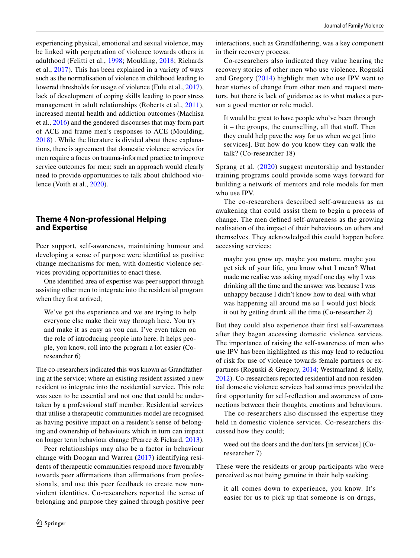experiencing physical, emotional and sexual violence, may be linked with perpetration of violence towards others in adulthood (Felitti et al., [1998;](#page-11-12) Moulding, [2018;](#page-12-10) Richards et al., [2017](#page-12-11)). This has been explained in a variety of ways such as the normalisation of violence in childhood leading to lowered thresholds for usage of violence (Fulu et al., [2017](#page-11-25)), lack of development of coping skills leading to poor stress management in adult relationships (Roberts et al., [2011](#page-12-12)), increased mental health and addiction outcomes (Machisa et al., [2016](#page-11-26)) and the gendered discourses that may form part of ACE and frame men's responses to ACE (Moulding, [2018](#page-12-10)) . While the literature is divided about these explanations, there is agreement that domestic violence services for men require a focus on trauma-informed practice to improve service outcomes for men; such an approach would clearly need to provide opportunities to talk about childhood violence (Voith et al., [2020\)](#page-12-13).

## **Theme 4 Non‑professional Helping and Expertise**

Peer support, self-awareness, maintaining humour and developing a sense of purpose were identifed as positive change mechanisms for men, with domestic violence services providing opportunities to enact these.

One identifed area of expertise was peer support through assisting other men to integrate into the residential program when they first arrived;

We've got the experience and we are trying to help everyone else make their way through here. You try and make it as easy as you can. I've even taken on the role of introducing people into here. It helps people, you know, roll into the program a lot easier (Coresearcher 6)

The co-researchers indicated this was known as Grandfathering at the service; where an existing resident assisted a new resident to integrate into the residential service. This role was seen to be essential and not one that could be undertaken by a professional staff member. Residential services that utilise a therapeutic communities model are recognised as having positive impact on a resident's sense of belonging and ownership of behaviours which in turn can impact on longer term behaviour change (Pearce & Pickard, [2013](#page-12-9)).

Peer relationships may also be a factor in behaviour change with Doogan and Warren ([2017\)](#page-11-27) identifying residents of therapeutic communities respond more favourably towards peer affirmations than affirmations from professionals, and use this peer feedback to create new nonviolent identities. Co-researchers reported the sense of belonging and purpose they gained through positive peer interactions, such as Grandfathering, was a key component in their recovery process.

Co-researchers also indicated they value hearing the recovery stories of other men who use violence. Roguski and Gregory ([2014\)](#page-12-3) highlight men who use IPV want to hear stories of change from other men and request mentors, but there is lack of guidance as to what makes a person a good mentor or role model.

It would be great to have people who've been through it – the groups, the counselling, all that stuf. Then they could help pave the way for us when we get [into services]. But how do you know they can walk the talk? (Co-researcher 18)

Sprang et al. ([2020](#page-12-14)) suggest mentorship and bystander training programs could provide some ways forward for building a network of mentors and role models for men who use IPV.

The co-researchers described self-awareness as an awakening that could assist them to begin a process of change. The men defned self-awareness as the growing realisation of the impact of their behaviours on others and themselves. They acknowledged this could happen before accessing services;

maybe you grow up, maybe you mature, maybe you get sick of your life, you know what I mean? What made me realise was asking myself one day why I was drinking all the time and the answer was because I was unhappy because I didn't know how to deal with what was happening all around me so I would just block it out by getting drunk all the time (Co-researcher 2)

But they could also experience their frst self-awareness after they began accessing domestic violence services. The importance of raising the self-awareness of men who use IPV has been highlighted as this may lead to reduction of risk for use of violence towards female partners or expartners (Roguski & Gregory, [2014](#page-12-3); Westmarland & Kelly, [2012](#page-12-4)). Co-researchers reported residential and non-residential domestic violence services had sometimes provided the frst opportunity for self-refection and awareness of connections between their thoughts, emotions and behaviours.

The co-researchers also discussed the expertise they held in domestic violence services. Co-researchers discussed how they could;

weed out the doers and the don'ters [in services] (Coresearcher 7)

These were the residents or group participants who were perceived as not being genuine in their help seeking.

it all comes down to experience, you know. It's easier for us to pick up that someone is on drugs,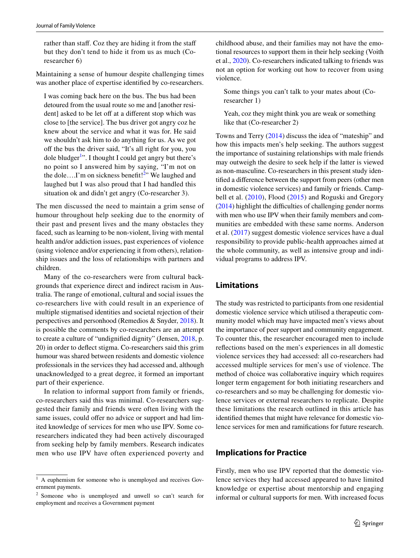rather than staff. Coz they are hiding it from the staff but they don't tend to hide it from us as much (Coresearcher 6)

Maintaining a sense of humour despite challenging times was another place of expertise identifed by co-researchers.

I was coming back here on the bus. The bus had been detoured from the usual route so me and [another resident] asked to be let off at a different stop which was close to [the service]. The bus driver got angry coz he knew about the service and what it was for. He said we shouldn't ask him to do anything for us. As we got off the bus the driver said, "It's all right for you, you dole bludger<sup>[1](#page-9-0)</sup>". I thought I could get angry but there's no point so I answered him by saying, "I'm not on the dole....I'm on sickness benefit!<sup>2</sup>" We laughed and laughed but I was also proud that I had handled this situation ok and didn't get angry (Co-researcher 3).

The men discussed the need to maintain a grim sense of humour throughout help seeking due to the enormity of their past and present lives and the many obstacles they faced, such as learning to be non-violent, living with mental health and/or addiction issues, past experiences of violence (using violence and/or experiencing it from others), relationship issues and the loss of relationships with partners and children.

Many of the co-researchers were from cultural backgrounds that experience direct and indirect racism in Australia. The range of emotional, cultural and social issues the co-researchers live with could result in an experience of multiple stigmatised identities and societal rejection of their perspectives and personhood (Remedios & Snyder, [2018](#page-12-15)). It is possible the comments by co-researchers are an attempt to create a culture of "undignifed dignity" (Jensen, [2018,](#page-11-28) p. 20) in order to defect stigma. Co-researchers said this grim humour was shared between residents and domestic violence professionals in the services they had accessed and, although unacknowledged to a great degree, it formed an important part of their experience.

In relation to informal support from family or friends, co-researchers said this was minimal. Co-researchers suggested their family and friends were often living with the same issues, could offer no advice or support and had limited knowledge of services for men who use IPV. Some coresearchers indicated they had been actively discouraged from seeking help by family members. Research indicates men who use IPV have often experienced poverty and childhood abuse, and their families may not have the emotional resources to support them in their help seeking (Voith et al., [2020\)](#page-12-13). Co-researchers indicated talking to friends was not an option for working out how to recover from using violence.

Some things you can't talk to your mates about (Coresearcher 1)

Yeah, coz they might think you are weak or something like that (Co-researcher 2)

Towns and Terry [\(2014](#page-12-16)) discuss the idea of "mateship" and how this impacts men's help seeking. The authors suggest the importance of sustaining relationships with male friends may outweigh the desire to seek help if the latter is viewed as non-masculine. Co-researchers in this present study identifed a diference between the support from peers (other men in domestic violence services) and family or friends. Campbell et al. [\(2010\)](#page-11-23), Flood ([2015](#page-11-5)) and Roguski and Gregory  $(2014)$  $(2014)$  highlight the difficulties of challenging gender norms with men who use IPV when their family members and communities are embedded with these same norms. Anderson et al. [\(2017](#page-10-7)) suggest domestic violence services have a dual responsibility to provide public-health approaches aimed at the whole community, as well as intensive group and individual programs to address IPV.

#### **Limitations**

The study was restricted to participants from one residential domestic violence service which utilised a therapeutic community model which may have impacted men's views about the importance of peer support and community engagement. To counter this, the researcher encouraged men to include refections based on the men's experiences in all domestic violence services they had accessed: all co-researchers had accessed multiple services for men's use of violence. The method of choice was collaborative inquiry which requires longer term engagement for both initiating researchers and co-researchers and so may be challenging for domestic violence services or external researchers to replicate. Despite these limitations the research outlined in this article has identifed themes that might have relevance for domestic violence services for men and ramifcations for future research.

#### **Implications for Practice**

Firstly, men who use IPV reported that the domestic violence services they had accessed appeared to have limited knowledge or expertise about mentorship and engaging informal or cultural supports for men. With increased focus

<span id="page-9-0"></span><sup>&</sup>lt;sup>1</sup> A euphemism for someone who is unemployed and receives Government payments.

<span id="page-9-1"></span><sup>2</sup> Someone who is unemployed and unwell so can't search for employment and receives a Government payment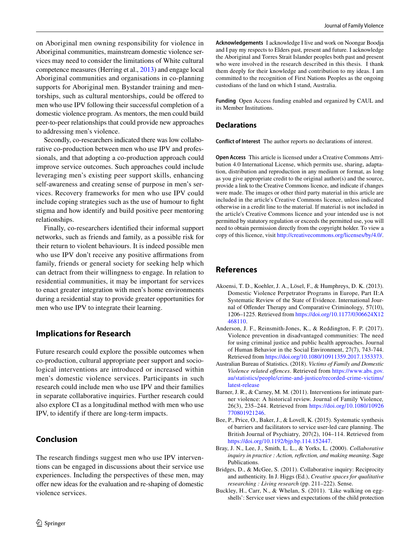on Aboriginal men owning responsibility for violence in Aboriginal communities, mainstream domestic violence services may need to consider the limitations of White cultural competence measures (Herring et al., [2013](#page-11-29)) and engage local Aboriginal communities and organisations in co-planning supports for Aboriginal men. Bystander training and mentorships, such as cultural mentorships, could be ofered to men who use IPV following their successful completion of a domestic violence program. As mentors, the men could build peer-to-peer relationships that could provide new approaches to addressing men's violence.

Secondly, co-researchers indicated there was low collaborative co-production between men who use IPV and professionals, and that adopting a co-production approach could improve service outcomes. Such approaches could include leveraging men's existing peer support skills, enhancing self-awareness and creating sense of purpose in men's services. Recovery frameworks for men who use IPV could include coping strategies such as the use of humour to fght stigma and how identify and build positive peer mentoring relationships.

Finally, co-researchers identifed their informal support networks, such as friends and family, as a possible risk for their return to violent behaviours. It is indeed possible men who use IPV don't receive any positive affirmations from family, friends or general society for seeking help which can detract from their willingness to engage. In relation to residential communities, it may be important for services to enact greater integration with men's home environments during a residential stay to provide greater opportunities for men who use IPV to integrate their learning.

#### **Implications for Research**

Future research could explore the possible outcomes when co-production, cultural appropriate peer support and sociological interventions are introduced or increased within men's domestic violence services. Participants in such research could include men who use IPV and their families in separate collaborative inquiries. Further research could also explore CI as a longitudinal method with men who use IPV, to identify if there are long-term impacts.

### **Conclusion**

The research fndings suggest men who use IPV interventions can be engaged in discussions about their service use experiences. Including the perspectives of these men, may ofer new ideas for the evaluation and re-shaping of domestic violence services.

**Acknowledgements** I acknowledge I live and work on Noongar Boodja and I pay my respects to Elders past, present and future. I acknowledge the Aboriginal and Torres Strait Islander peoples both past and present who were involved in the research described in this thesis. I thank them deeply for their knowledge and contribution to my ideas. I am committed to the recognition of First Nations Peoples as the ongoing custodians of the land on which I stand, Australia.

**Funding** Open Access funding enabled and organized by CAUL and its Member Institutions.

#### **Declarations**

**Conflict of Interest** The author reports no declarations of interest.

**Open Access** This article is licensed under a Creative Commons Attribution 4.0 International License, which permits use, sharing, adaptation, distribution and reproduction in any medium or format, as long as you give appropriate credit to the original author(s) and the source, provide a link to the Creative Commons licence, and indicate if changes were made. The images or other third party material in this article are included in the article's Creative Commons licence, unless indicated otherwise in a credit line to the material. If material is not included in the article's Creative Commons licence and your intended use is not permitted by statutory regulation or exceeds the permitted use, you will need to obtain permission directly from the copyright holder. To view a copy of this licence, visit<http://creativecommons.org/licenses/by/4.0/>.

#### **References**

- <span id="page-10-2"></span>Akoensi, T. D., Koehler, J. A., Lösel, F., & Humphreys, D. K. (2013). Domestic Violence Perpetrator Programs in Europe, Part II:A Systematic Review of the State of Evidence. International Journal of Ofender Therapy and Comparative Criminology*,* 57(10), 1206–1225. Retrieved from [https://doi.org/10.1177/0306624X12](https://doi.org/10.1177/0306624X12468110) [468110.](https://doi.org/10.1177/0306624X12468110)
- <span id="page-10-7"></span>Anderson, J. F., Reinsmith-Jones, K., & Reddington, F. P. (2017). Violence prevention in disadvantaged communities: The need for using criminal justice and public health approaches. Journal of Human Behavior in the Social Environment, 27(7), 743-744. Retrieved from<https://doi.org/10.1080/10911359.2017.1353373>.
- <span id="page-10-0"></span>Australian Bureau of Statistics. (2018). *Victims of Family and Domestic Violence related ofences*. Retrieved from [https://www.abs.gov.](https://www.abs.gov.au/statistics/people/crime-and-justice/recorded-crime-victims/latest-release) [au/statistics/people/crime-and-justice/recorded-crime-victims/](https://www.abs.gov.au/statistics/people/crime-and-justice/recorded-crime-victims/latest-release) [latest-release](https://www.abs.gov.au/statistics/people/crime-and-justice/recorded-crime-victims/latest-release)
- <span id="page-10-1"></span>Barner, J. R., & Carney, M. M. (2011). Interventions for intimate partner violence: A historical review. Journal of Family Violence*,* 26(3), 235–244. Retrieved from [https://doi.org/10.1080/10926](https://doi.org/10.1080/10926770801921246) [770801921246.](https://doi.org/10.1080/10926770801921246)
- <span id="page-10-6"></span>Bee, P., Price, O., Baker, J., & Lovell, K. (2015). Systematic synthesis of barriers and facilitators to service user-led care planning. The British Journal of Psychiatry*,* 207(2), 104–114. Retrieved from <https://doi.org/10.1192/bjp.bp.114.152447>.
- <span id="page-10-4"></span>Bray, J. N., Lee, J., Smith, L. L., & Yorks, L. (2000). *Collaborative inquiry in practice : Action, refection, and making meaning*. Sage Publications.
- <span id="page-10-5"></span>Bridges, D., & McGee, S. (2011). Collaborative inquiry: Reciprocity and authenticity. In J. Higgs (Ed.), *Creative spaces for qualitative researching : Living research* (pp. 211–222). Sense.
- <span id="page-10-3"></span>Buckley, H., Carr, N., & Whelan, S. (2011). 'Like walking on eggshells': Service user views and expectations of the child protection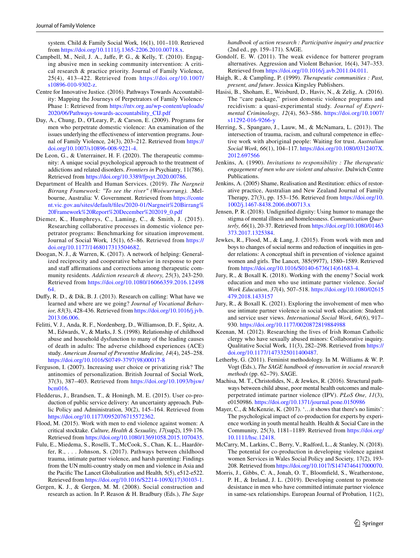system. Child & Family Social Work*,* 16(1), 101–110. Retrieved from <https://doi.org/10.1111/j.1365-2206.2010.00718.x>.

- <span id="page-11-23"></span>Campbell, M., Neil, J. A., Jafe, P. G., & Kelly, T. (2010). Engaging abusive men in seeking community intervention: A critical research & practice priority. Journal of Family Violence*,* 25(4), 413–422. Retrieved from [https://doi.org/10.1007/](https://doi.org/10.1007/s10896-010-9302-z) [s10896-010-9302-z](https://doi.org/10.1007/s10896-010-9302-z).
- <span id="page-11-0"></span>Centre for Innovative Justice. (2016). Pathways Towards Accountability: Mapping the Journeys of Perpetrators of Family Violence-Phase 1: Retrieved from [https://ntv.org.au/wp-content/uploads/](https://ntv.org.au/wp-content/uploads/2020/06/Pathways-towards-accountability_CIJ.pdf) [2020/06/Pathways-towards-accountability\\_CIJ.pdf](https://ntv.org.au/wp-content/uploads/2020/06/Pathways-towards-accountability_CIJ.pdf)
- <span id="page-11-2"></span>Day, A., Chung, D., O'Leary, P., & Carson, E. (2009). Programs for men who perpetrate domestic violence: An examination of the issues underlying the efectiveness of intervention programs. Journal of Family Violence*,* 24(3), 203–212. Retrieved from [https://](https://doi.org/10.1007/s10896-008-9221-4) [doi.org/10.1007/s10896-008-9221-4](https://doi.org/10.1007/s10896-008-9221-4).
- <span id="page-11-9"></span>De Leon, G., & Unterrainer, H. F. (2020). The therapeutic community: A unique social psychological approach to the treatment of addictions and related disorders. *Frontiers in* Psychiatry*,* 11(786). Retrieved from <https://doi.org/10.3389/fpsyt.2020.00786>.
- <span id="page-11-21"></span>Department of Health and Human Services. (2019). *The Nargneit Birrang Framework: "To see the river" (Woiwurrung).* .Melbourne, Australia: V. Government. Retrieved from [https://conte](https://content.vic.gov.au/sites/default/files/2020-01/Nargneit%20Birrang%20Framework%20Report%20December%202019_0.pdf) [nt.vic.gov.au/sites/default/fles/2020-01/Nargneit%20Birrang%](https://content.vic.gov.au/sites/default/files/2020-01/Nargneit%20Birrang%20Framework%20Report%20December%202019_0.pdf) [20Framework%20Report%20December%202019\\_0.pdf](https://content.vic.gov.au/sites/default/files/2020-01/Nargneit%20Birrang%20Framework%20Report%20December%202019_0.pdf)
- <span id="page-11-1"></span>Diemer, K., Humphreys, C., Laming, C., & Smith, J. (2015). Researching collaborative processes in domestic violence perpetrator programs: Benchmarking for situation improvement. Journal of Social Work*,* 15(1), 65–86. Retrieved from [https://](https://doi.org/10.1177/1468017313504682) [doi.org/10.1177/1468017313504682.](https://doi.org/10.1177/1468017313504682)
- <span id="page-11-27"></span>Doogan, N. J., & Warren, K. (2017). A network of helping: Generalized reciprocity and cooperative behavior in response to peer and staff affirmations and corrections among therapeutic community residents. *Addiction research & theory, 25*(3), 243-250. Retrieved from [https://doi.org/10.1080/16066359.2016.12498](https://doi.org/10.1080/16066359.2016.1249864) [64.](https://doi.org/10.1080/16066359.2016.1249864)
- <span id="page-11-22"></span>Dufy, R. D., & Dik, B. J. (2013). Research on calling: What have we learned and where are we going? *Journal of Vocational Behavior, 83*(3), 428-436. Retrieved from [https://doi.org/10.1016/j.jvb.](https://doi.org/10.1016/j.jvb.2013.06.006) [2013.06.006.](https://doi.org/10.1016/j.jvb.2013.06.006)
- <span id="page-11-12"></span>Felitti, V. J., Anda, R. F., Nordenberg, D., Williamson, D. F., Spitz, A. M., Edwards, V., & Marks, J. S. (1998). Relationship of childhood abuse and household dysfunction to many of the leading causes of death in adults: The adverse childhood experiences (ACE) study. *American Journal of Preventive Medicine, 14*(4), 245–258. [https://doi.org/10.1016/S0749-3797\(98\)00017-8](https://doi.org/10.1016/S0749-3797(98)00017-8)
- <span id="page-11-18"></span>Ferguson, I. (2007). Increasing user choice or privatizing risk? The antinomies of personalization. British Journal of Social Work*,* 37(3), 387–403. Retrieved from [https://doi.org/10.1093/bjsw/](https://doi.org/10.1093/bjsw/bcm016) [bcm016.](https://doi.org/10.1093/bjsw/bcm016)
- <span id="page-11-17"></span>Fledderus, J., Brandsen, T., & Honingh, M. E. (2015). User co-production of public service delivery: An uncertainty approach. Public Policy and Administration*,* 30(2), 145–164. Retrieved from [https://doi.org/10.1177/0952076715572362.](https://doi.org/10.1177/0952076715572362)
- <span id="page-11-5"></span>Flood, M. (2015). Work with men to end violence against women: A critical stocktake. *Culture, Health & Sexuality, 17*(sup2), 159-176. Retrieved from [https://doi.org/10.1080/13691058.2015.1070435.](https://doi.org/10.1080/13691058.2015.1070435)
- <span id="page-11-25"></span>Fulu, E., Miedema, S., Roselli, T., McCook, S., Chan, K. L., Haardörfer, R., . . . Johnson, S. (2017). Pathways between childhood trauma, intimate partner violence, and harsh parenting: Findings from the UN multi-country study on men and violence in Asia and the Pacifc The Lancet Globalization and Health*,* 5(5), e512-e522. Retrieved from [https://doi.org/10.1016/S2214-109X\(17\)30103-1.](https://doi.org/10.1016/S2214-109X(17)30103-1)
- <span id="page-11-13"></span>Gergen, K. J., & Gergen, M. M. (2008). Social construction and research as action. In P. Reason & H. Bradbury (Eds.), *The Sage*

*handbook of action research : Participative inquiry and practice* (2nd ed., pp. 159–171). SAGE.

- <span id="page-11-3"></span>Gondolf, E. W. (2011). The weak evidence for batterer program alternatives. Aggression and Violent Behavior*,* 16(4), 347–353. Retrieved from [https://doi.org/10.1016/j.avb.2011.04.011.](https://doi.org/10.1016/j.avb.2011.04.011)
- <span id="page-11-15"></span>Haigh, R., & Campling, P. (1999). *Therapeutic communities : Past, present, and future*. Jessica Kingsley Publishers.
- <span id="page-11-4"></span>Hasisi, B., Shoham, E., Weisburd, D., Haviv, N., & Zelig, A. (2016). The "care package," prison domestic violence programs and recidivism: a quasi-experimental study. *Journal of Experimental Criminology, 12*(4), 563–586. [https://doi.org/10.1007/](https://doi.org/10.1007/s11292-016-9266-y) [s11292-016-9266-y](https://doi.org/10.1007/s11292-016-9266-y)
- <span id="page-11-29"></span>Herring, S., Spangaro, J., Lauw, M., & McNamara, L. (2013). The intersection of trauma, racism, and cultural competence in efective work with aboriginal people: Waiting for trust. *Australian Social Work, 66*(1), 104–117. [https://doi.org/10.1080/0312407X.](https://doi.org/10.1080/0312407X.2012.697566) [2012.697566](https://doi.org/10.1080/0312407X.2012.697566)
- <span id="page-11-11"></span>Jenkins, A. (1990). *Invitations to responsibility : The therapeutic engagement of men who are violent and abusive*. Dulwich Centre Publications.
- <span id="page-11-24"></span>Jenkins, A. (2005) Shame, Realisation and Restitution: ethics of restorative practice, Australian and New Zealand Journal of Family Therapy, 27(3), pp. 153–156. Retrieved from [https://doi.org/10.](https://doi.org/10.1002/j.1467-8438.2006.tb00713.x) [1002/j.1467-8438.2006.tb00713.x](https://doi.org/10.1002/j.1467-8438.2006.tb00713.x)
- <span id="page-11-28"></span>Jensen, P. R. (2018). Undignifed dignity: Using humor to manage the stigma of mental illness and homelessness. *Communication Quarterly, 66*(1), 20-37. Retrieved from [https://doi.org/10.1080/01463](https://doi.org/10.1080/01463373.2017.1325384) [373.2017.1325384.](https://doi.org/10.1080/01463373.2017.1325384)
- <span id="page-11-10"></span>Jewkes, R., Flood, M., & Lang, J. (2015). From work with men and boys to changes of social norms and reduction of inequities in gender relations: A conceptual shift in prevention of violence against women and girls. The Lancet*,* 385(9977), 1580–1589. Retrieved from [https://doi.org/10.1016/S0140-6736\(14\)61683-4.](https://doi.org/10.1016/S0140-6736(14)61683-4)
- <span id="page-11-7"></span>Jury, R., & Boxall K. (2018). Working with the enemy? Social work education and men who use intimate partner violence. *Social Work Education*, *37*(4), 507–518. [https://doi.org/10.1080/02615](https://doi.org/10.1080/02615479.2018.1433157) [479.2018.1433157](https://doi.org/10.1080/02615479.2018.1433157)
- <span id="page-11-8"></span>Jury, R., & Boxall K. (2021). Exploring the involvement of men who use intimate partner violence in social work education: Student and service user views. *International Social Work*, *64*(6), 917– 930.<https://doi.org/10.1177/0020872819884988>
- <span id="page-11-6"></span>Keenan, M. (2012). Researching the lives of Irish Roman Catholic clergy who have sexually abused minors: Collaborative inquiry. Qualitative Social Work*,* 11(3), 282–298. Retrieved from [https://](https://doi.org/10.1177/1473325011400487) [doi.org/10.1177/1473325011400487](https://doi.org/10.1177/1473325011400487).
- <span id="page-11-14"></span>Letherby, G. (2011). Feminist methodology. In M. Williams & W. P. Vogt (Eds.), *The SAGE handbook of innovation in social research methods* (pp. 62–79). SAGE.
- <span id="page-11-26"></span>Machisa, M. T., Christofdes, N., & Jewkes, R. (2016). Structural pathways between child abuse, poor mental health outcomes and maleperpetrated intimate partner violence (IPV). *PLoS One, 11*(3), e0150986.<https://doi.org/10.1371/journal.pone.0150986>
- <span id="page-11-16"></span>Mayer, C., & McKenzie, K. (2017). '…it shows that there's no limits': The psychological impact of co-production for experts by experience working in youth mental health. Health & Social Care in the Community*,* 25(3), 1181–1189. Retrieved from [https://doi.org/](https://doi.org/10.1111/hsc.12418) [10.1111/hsc.12418.](https://doi.org/10.1111/hsc.12418)
- <span id="page-11-19"></span>McCarry, M., Larkins, C., Berry, V., Radford, L., & Stanley, N. (2018). The potential for co-production in developing violence against women Services in Wales Social Policy and Society*,* 17(2), 193- 208. Retrieved from [https://doi.org/10.1017/S1474746417000070.](https://doi.org/10.1017/S1474746417000070)
- <span id="page-11-20"></span>Morris, J., Gibbs, C. A., Jonah, O. T., Bloomfeld, S., Weatherstone, P. H., & Ireland, J. L. (2019). Developing content to promote desistance in men who have committed intimate partner violence in same-sex relationships. European Journal of Probation*,* 11(2),